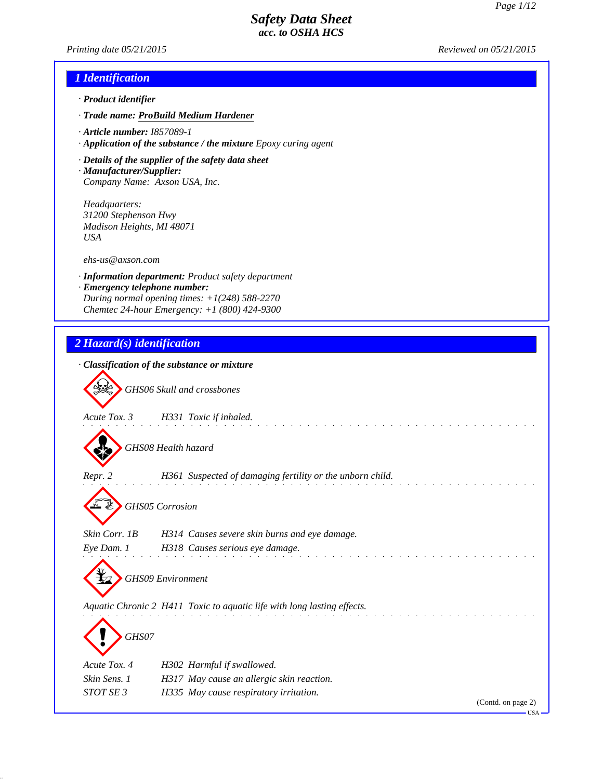*Printing date 05/21/2015 Reviewed on 05/21/2015*

## *1 Identification*

- *· Product identifier*
- *· Trade name: ProBuild Medium Hardener*
- *· Article number: I857089-1*
- *· Application of the substance / the mixture Epoxy curing agent*
- *· Details of the supplier of the safety data sheet*
- *· Manufacturer/Supplier: Company Name: Axson USA, Inc.*

*Headquarters: 31200 Stephenson Hwy Madison Heights, MI 48071 USA*

*ehs-us@axson.com*

- *· Information department: Product safety department*
- *· Emergency telephone number: During normal opening times: +1(248) 588-2270 Chemtec 24-hour Emergency: +1 (800) 424-9300*

## *2 Hazard(s) identification*

|               | · Classification of the substance or mixture                            |
|---------------|-------------------------------------------------------------------------|
|               | GHS06 Skull and crossbones                                              |
| Acute Tox. 3  | H331 Toxic if inhaled.                                                  |
|               | GHS08 Health hazard                                                     |
| Repr. 2       | H361 Suspected of damaging fertility or the unborn child.               |
|               | <b>GHS05</b> Corrosion                                                  |
| Skin Corr. 1B | H314 Causes severe skin burns and eye damage.                           |
|               | Eye Dam. 1 H318 Causes serious eye damage.                              |
|               | <b>GHS09</b> Environment                                                |
|               | Aquatic Chronic 2 H411 Toxic to aquatic life with long lasting effects. |
|               |                                                                         |
| GHS07         |                                                                         |
| Acute Tox. 4  | H302 Harmful if swallowed.                                              |
| Skin Sens. 1  | H317 May cause an allergic skin reaction.                               |
| STOT SE 3     | H335 May cause respiratory irritation.                                  |
|               | (Contd. on page 2)                                                      |

USA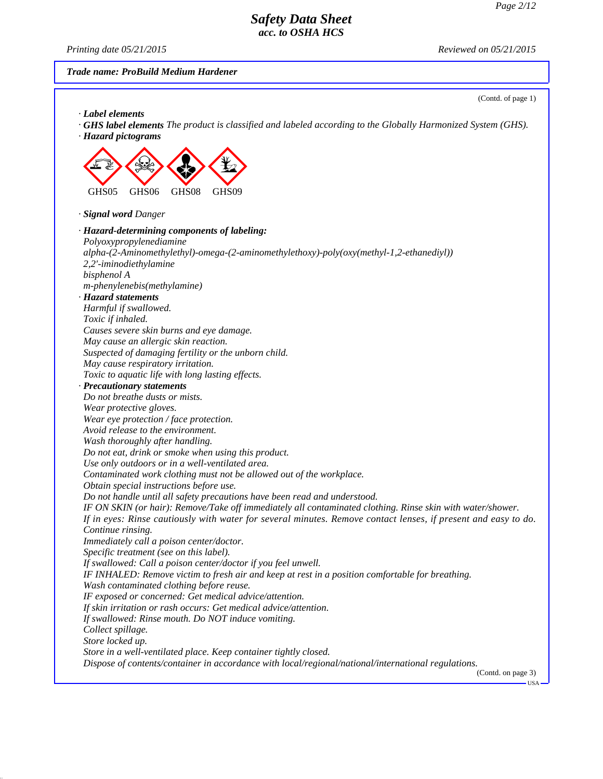*Printing date 05/21/2015 Reviewed on 05/21/2015*

#### *Trade name: ProBuild Medium Hardener*

(Contd. of page 1)

*· Label elements · GHS label elements The product is classified and labeled according to the Globally Harmonized System (GHS). · Hazard pictograms* **EE** GHS05 \*\* GHS06  $\langle \cdot \rangle$ GHS08  $\left\langle \frac{\psi}{2} \right\rangle$ GHS09 *· Signal word Danger · Hazard-determining components of labeling: Polyoxypropylenediamine alpha-(2-Aminomethylethyl)-omega-(2-aminomethylethoxy)-poly(oxy(methyl-1,2-ethanediyl)) 2,2'-iminodiethylamine bisphenol A m-phenylenebis(methylamine) · Hazard statements Harmful if swallowed. Toxic if inhaled. Causes severe skin burns and eye damage. May cause an allergic skin reaction. Suspected of damaging fertility or the unborn child. May cause respiratory irritation. Toxic to aquatic life with long lasting effects. · Precautionary statements Do not breathe dusts or mists. Wear protective gloves. Wear eye protection / face protection. Avoid release to the environment. Wash thoroughly after handling. Do not eat, drink or smoke when using this product. Use only outdoors or in a well-ventilated area. Contaminated work clothing must not be allowed out of the workplace. Obtain special instructions before use. Do not handle until all safety precautions have been read and understood. IF ON SKIN (or hair): Remove/Take off immediately all contaminated clothing. Rinse skin with water/shower. If in eyes: Rinse cautiously with water for several minutes. Remove contact lenses, if present and easy to do. Continue rinsing. Immediately call a poison center/doctor. Specific treatment (see on this label). If swallowed: Call a poison center/doctor if you feel unwell. IF INHALED: Remove victim to fresh air and keep at rest in a position comfortable for breathing. Wash contaminated clothing before reuse. IF exposed or concerned: Get medical advice/attention. If skin irritation or rash occurs: Get medical advice/attention. If swallowed: Rinse mouth. Do NOT induce vomiting. Collect spillage. Store locked up. Store in a well-ventilated place. Keep container tightly closed. Dispose of contents/container in accordance with local/regional/national/international regulations.* (Contd. on page 3)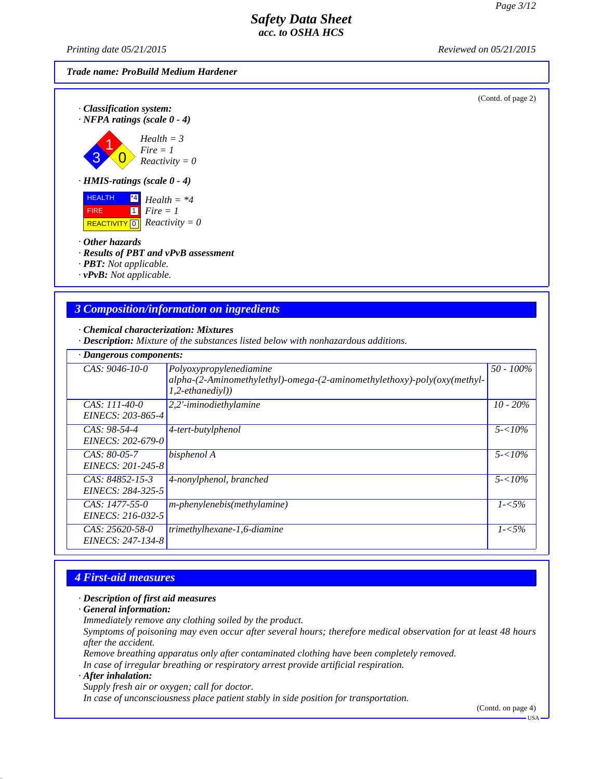*Printing date 05/21/2015 Reviewed on 05/21/2015*

#### *Trade name: ProBuild Medium Hardener*

(Contd. of page 2)



3 1  $\overline{0}$ *Health = 3 Fire = 1 Reactivity = 0*

*· HMIS-ratings (scale 0 - 4)*

 HEALTH FIRE  $\overline{REACTIVITY \, 0}$  *Reactivity = 0* \*4 *Health = \*4* 1 *Fire = 1*

*· Other hazards*

*· Results of PBT and vPvB assessment*

*· PBT: Not applicable.*

*· vPvB: Not applicable.*

### *3 Composition/information on ingredients*

*· Chemical characterization: Mixtures*

*· Description: Mixture of the substances listed below with nonhazardous additions.*

| · Dangerous components:                  |                                                                                                                                    |              |  |  |
|------------------------------------------|------------------------------------------------------------------------------------------------------------------------------------|--------------|--|--|
| $CAS: 9046-10-0$                         | Polyoxypropylenediamine<br>$alpha-(2-Aminomethylethyl)$ -omega- $(2-aminomethylethyl-)poly(oxy(methyl-1))$<br>$1, 2-eth an edivl)$ | $50 - 100\%$ |  |  |
| CAS: 111-40-0<br>EINECS: 203-865-4       | 2,2'-iminodiethylamine                                                                                                             | $10 - 20\%$  |  |  |
| $CAS: 98-54-4$<br>EINECS: 202-679-0      | 4-tert-butylphenol                                                                                                                 | $5 - 10\%$   |  |  |
| $CAS: 80-05-7$<br>EINECS: 201-245-8      | bisphenol A                                                                                                                        | $5 - 10\%$   |  |  |
| $CAS: 84852 - 15-3$<br>EINECS: 284-325-5 | 4-nonylphenol, branched                                                                                                            | $5 - 10\%$   |  |  |
| CAS: $1477-55-0$<br>EINECS: 216-032-5    | $m$ -phenylenebis(methylamine)                                                                                                     | $1 - 5\%$    |  |  |
| CAS: 25620-58-0<br>EINECS: 247-134-8     | trimethylhexane-1,6-diamine                                                                                                        | $1 - 5\%$    |  |  |

## *4 First-aid measures*

#### *· Description of first aid measures*

*· General information:*

*Immediately remove any clothing soiled by the product.*

*Symptoms of poisoning may even occur after several hours; therefore medical observation for at least 48 hours after the accident.*

*Remove breathing apparatus only after contaminated clothing have been completely removed.*

*In case of irregular breathing or respiratory arrest provide artificial respiration.*

*· After inhalation:*

*Supply fresh air or oxygen; call for doctor.*

*In case of unconsciousness place patient stably in side position for transportation.*

(Contd. on page 4)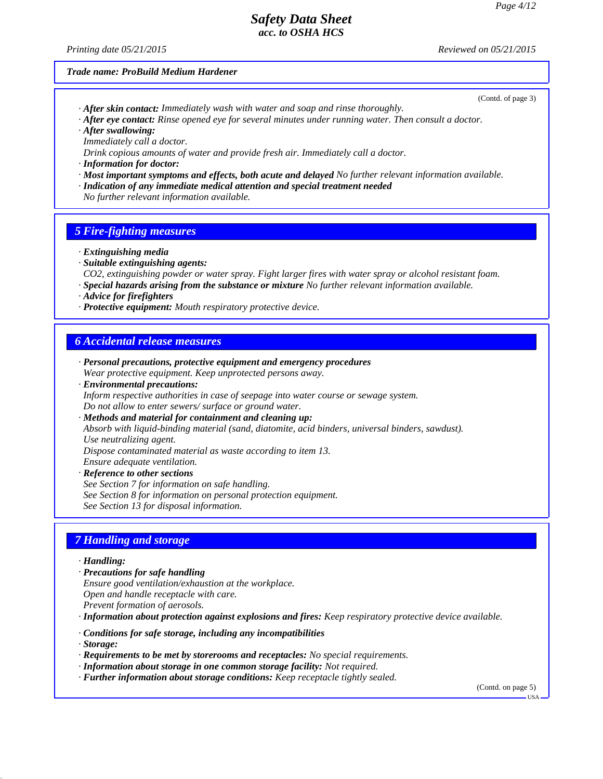*Printing date 05/21/2015 Reviewed on 05/21/2015*

#### *Trade name: ProBuild Medium Hardener*

(Contd. of page 3)

- *· After skin contact: Immediately wash with water and soap and rinse thoroughly. · After eye contact: Rinse opened eye for several minutes under running water. Then consult a doctor.*
- *· After swallowing:*
- *Immediately call a doctor.*
- *Drink copious amounts of water and provide fresh air. Immediately call a doctor.*
- *· Information for doctor:*
- *· Most important symptoms and effects, both acute and delayed No further relevant information available.*
- *· Indication of any immediate medical attention and special treatment needed*
- *No further relevant information available.*

#### *5 Fire-fighting measures*

- *· Extinguishing media*
- *· Suitable extinguishing agents:*
- *CO2, extinguishing powder or water spray. Fight larger fires with water spray or alcohol resistant foam.*
- *· Special hazards arising from the substance or mixture No further relevant information available.*
- *· Advice for firefighters*
- *· Protective equipment: Mouth respiratory protective device.*

#### *6 Accidental release measures*

- *· Personal precautions, protective equipment and emergency procedures Wear protective equipment. Keep unprotected persons away.*
- *· Environmental precautions:*

*Inform respective authorities in case of seepage into water course or sewage system. Do not allow to enter sewers/ surface or ground water.*

*· Methods and material for containment and cleaning up:*

*Absorb with liquid-binding material (sand, diatomite, acid binders, universal binders, sawdust). Use neutralizing agent.*

*Dispose contaminated material as waste according to item 13.*

- *Ensure adequate ventilation.*
- *· Reference to other sections*
- *See Section 7 for information on safe handling.*
- *See Section 8 for information on personal protection equipment.*

*See Section 13 for disposal information.*

#### *7 Handling and storage*

#### *· Handling:*

- *· Precautions for safe handling*
- *Ensure good ventilation/exhaustion at the workplace.*
- *Open and handle receptacle with care.*
- *Prevent formation of aerosols.*

*· Information about protection against explosions and fires: Keep respiratory protective device available.*

- *· Conditions for safe storage, including any incompatibilities*
- *· Storage:*
- *· Requirements to be met by storerooms and receptacles: No special requirements.*
- *· Information about storage in one common storage facility: Not required.*
- *· Further information about storage conditions: Keep receptacle tightly sealed.*

(Contd. on page 5)

USA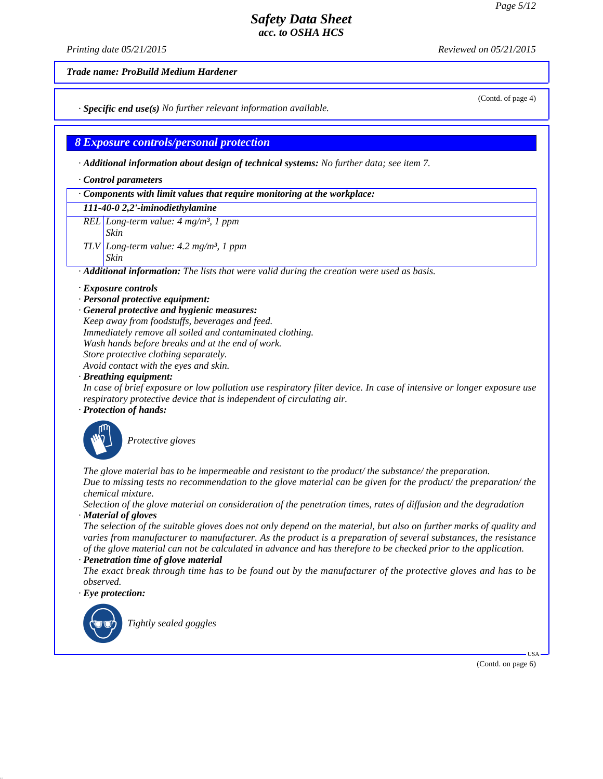*Printing date 05/21/2015 Reviewed on 05/21/2015*

*Trade name: ProBuild Medium Hardener*

*· Specific end use(s) No further relevant information available.*

*8 Exposure controls/personal protection*

- *· Additional information about design of technical systems: No further data; see item 7.*
- *· Control parameters*

#### *· Components with limit values that require monitoring at the workplace:*

- *111-40-0 2,2'-iminodiethylamine*
- *REL Long-term value: 4 mg/m³, 1 ppm*
- *Skin*
- *TLV Long-term value: 4.2 mg/m³, 1 ppm Skin*

*· Additional information: The lists that were valid during the creation were used as basis.*

- *· Exposure controls*
- *· Personal protective equipment:*
- *· General protective and hygienic measures: Keep away from foodstuffs, beverages and feed. Immediately remove all soiled and contaminated clothing. Wash hands before breaks and at the end of work. Store protective clothing separately. Avoid contact with the eyes and skin.*

*· Breathing equipment:*

*In case of brief exposure or low pollution use respiratory filter device. In case of intensive or longer exposure use respiratory protective device that is independent of circulating air.*

*· Protection of hands:*



**Protective gloves** 

*The glove material has to be impermeable and resistant to the product/ the substance/ the preparation. Due to missing tests no recommendation to the glove material can be given for the product/ the preparation/ the chemical mixture.*

*Selection of the glove material on consideration of the penetration times, rates of diffusion and the degradation · Material of gloves*

*The selection of the suitable gloves does not only depend on the material, but also on further marks of quality and varies from manufacturer to manufacturer. As the product is a preparation of several substances, the resistance of the glove material can not be calculated in advance and has therefore to be checked prior to the application.*

*· Penetration time of glove material*

*The exact break through time has to be found out by the manufacturer of the protective gloves and has to be observed.*

*· Eye protection:*



`R*Tightly sealed goggles*

(Contd. of page 4)

(Contd. on page 6)

USA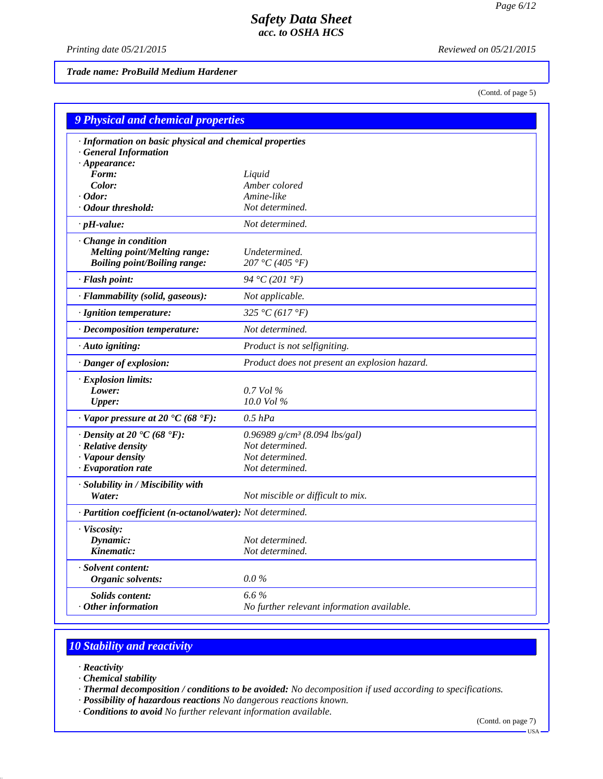*Printing date 05/21/2015 Reviewed on 05/21/2015*

### *Trade name: ProBuild Medium Hardener*

(Contd. of page 5)

| 9 Physical and chemical properties                         |                                               |
|------------------------------------------------------------|-----------------------------------------------|
| · Information on basic physical and chemical properties    |                                               |
| · General Information                                      |                                               |
| $\cdot$ Appearance:                                        |                                               |
| Form:<br>Color:                                            | Liquid<br>Amber colored                       |
| $\cdot$ Odor:                                              | Amine-like                                    |
| · Odour threshold:                                         | Not determined.                               |
| $\cdot$ pH-value:                                          | Not determined.                               |
| Change in condition                                        |                                               |
| <b>Melting point/Melting range:</b>                        | Undetermined.                                 |
| <b>Boiling point/Boiling range:</b>                        | 207 °C (405 °F)                               |
| · Flash point:                                             | 94 °C (201 °F)                                |
| · Flammability (solid, gaseous):                           | Not applicable.                               |
| · Ignition temperature:                                    | 325 °C (617 °F)                               |
| · Decomposition temperature:                               | Not determined.                               |
| · Auto igniting:                                           | Product is not selfigniting.                  |
| · Danger of explosion:                                     | Product does not present an explosion hazard. |
| · Explosion limits:                                        |                                               |
| Lower:                                                     | $0.7$ Vol $\%$                                |
| <b>Upper:</b>                                              | $10.0$ Vol $%$                                |
| $\cdot$ Vapor pressure at 20 $\cdot$ C (68 $\cdot$ F):     | $0.5$ hPa                                     |
| $\cdot$ Density at 20 $\cdot$ C (68 $\cdot$ F):            | 0.96989 $g/cm^3$ (8.094 lbs/gal)              |
| · Relative density                                         | Not determined.                               |
| · Vapour density                                           | Not determined.                               |
| $\cdot$ Evaporation rate                                   | Not determined.                               |
| · Solubility in / Miscibility with                         |                                               |
| Water:                                                     | Not miscible or difficult to mix.             |
| · Partition coefficient (n-octanol/water): Not determined. |                                               |
| · Viscosity:                                               |                                               |
| Dynamic:                                                   | Not determined.                               |
| Kinematic:                                                 | Not determined.                               |
| · Solvent content:                                         |                                               |
| Organic solvents:                                          | $0.0\%$                                       |
| <b>Solids content:</b>                                     | 6.6%                                          |
| Other information                                          | No further relevant information available.    |

# *10 Stability and reactivity*

- *· Reactivity*
- *· Chemical stability*
- *· Thermal decomposition / conditions to be avoided: No decomposition if used according to specifications.*
- *· Possibility of hazardous reactions No dangerous reactions known.*
- *· Conditions to avoid No further relevant information available.*

(Contd. on page 7)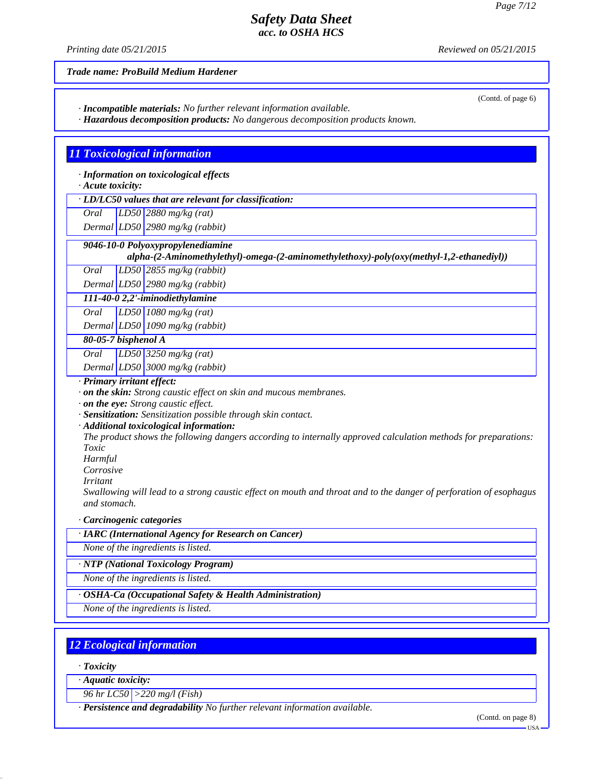(Contd. of page 6)

## *Safety Data Sheet acc. to OSHA HCS*

*Printing date 05/21/2015 Reviewed on 05/21/2015*

*Trade name: ProBuild Medium Hardener*

*· Incompatible materials: No further relevant information available.*

*· Hazardous decomposition products: No dangerous decomposition products known.*

## *11 Toxicological information*

*· Information on toxicological effects*

*· Acute toxicity:*

*· LD/LC50 values that are relevant for classification:*

*Oral LD50 2880 mg/kg (rat)*

*Dermal LD50 2980 mg/kg (rabbit)*

 *9046-10-0 Polyoxypropylenediamine*

*alpha-(2-Aminomethylethyl)-omega-(2-aminomethylethoxy)-poly(oxy(methyl-1,2-ethanediyl))*

*Oral LD50 2855 mg/kg (rabbit)*

*Dermal LD50 2980 mg/kg (rabbit) 111-40-0 2,2'-iminodiethylamine*

*Oral LD50 1080 mg/kg (rat)*

*Dermal LD50 1090 mg/kg (rabbit)*

*80-05-7 bisphenol A*

*Oral LD50 3250 mg/kg (rat)*

*Dermal LD50 3000 mg/kg (rabbit)*

*· Primary irritant effect:*

*· on the skin: Strong caustic effect on skin and mucous membranes.*

*· on the eye: Strong caustic effect.*

*· Sensitization: Sensitization possible through skin contact.*

*· Additional toxicological information:*

*The product shows the following dangers according to internally approved calculation methods for preparations: Toxic*

*Harmful*

*Corrosive*

*Irritant*

*Swallowing will lead to a strong caustic effect on mouth and throat and to the danger of perforation of esophagus and stomach.*

*· Carcinogenic categories*

*· IARC (International Agency for Research on Cancer)*

*None of the ingredients is listed.*

*· NTP (National Toxicology Program)*

*None of the ingredients is listed.*

*· OSHA-Ca (Occupational Safety & Health Administration)*

*None of the ingredients is listed.*

## *12 Ecological information*

*· Toxicity*

*· Aquatic toxicity:*

*96 hr LC50 >220 mg/l (Fish)*

*· Persistence and degradability No further relevant information available.*

(Contd. on page 8)

USA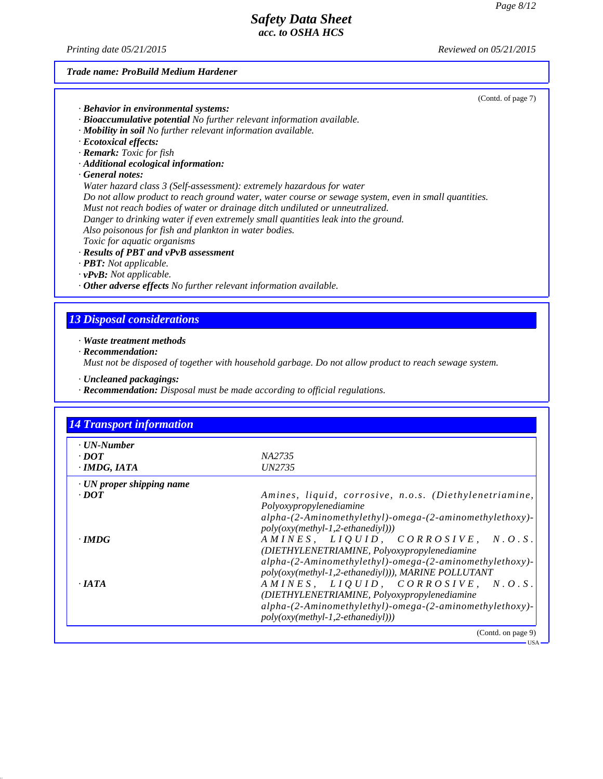*Printing date 05/21/2015 Reviewed on 05/21/2015*

#### *Trade name: ProBuild Medium Hardener*

| (Contd. of page 7) |  |  |
|--------------------|--|--|
|--------------------|--|--|

USA

|  |  |  | · Behavior in environmental systems: |  |
|--|--|--|--------------------------------------|--|
|--|--|--|--------------------------------------|--|

- *· Bioaccumulative potential No further relevant information available.*
- *· Mobility in soil No further relevant information available.*
- *· Ecotoxical effects:*
- *· Remark: Toxic for fish*
- *· Additional ecological information:*
- *· General notes:*

*Water hazard class 3 (Self-assessment): extremely hazardous for water Do not allow product to reach ground water, water course or sewage system, even in small quantities.*

- *Must not reach bodies of water or drainage ditch undiluted or unneutralized.*
- *Danger to drinking water if even extremely small quantities leak into the ground.*

*Also poisonous for fish and plankton in water bodies.*

- *Toxic for aquatic organisms*
- *· Results of PBT and vPvB assessment*
- *· PBT: Not applicable.*
- *· vPvB: Not applicable.*
- *· Other adverse effects No further relevant information available.*

### *13 Disposal considerations*

*· Waste treatment methods*

*· Recommendation:*

*Must not be disposed of together with household garbage. Do not allow product to reach sewage system.*

- *· Uncleaned packagings:*
- *· Recommendation: Disposal must be made according to official regulations.*

| $\cdot$ UN-Number               |                                                                                                                                                                                                     |
|---------------------------------|-----------------------------------------------------------------------------------------------------------------------------------------------------------------------------------------------------|
| $\cdot$ DOT                     | NA2735                                                                                                                                                                                              |
| $\cdot$ IMDG, IATA              | <i>UN2735</i>                                                                                                                                                                                       |
| $\cdot$ UN proper shipping name |                                                                                                                                                                                                     |
| $\cdot$ <i>DOT</i>              | Amines, liquid, corrosive, n.o.s. (Diethylenetriamine,<br>Polyoxypropylenediamine<br>alpha-(2-Aminomethylethyl)-omega-(2-aminomethylethoxy)-<br>$poly(oxy(methyl-1,2-ethanedivl)))$                 |
| $\cdot$ IMDG                    | AMINES, LIQUID, CORROSIVE, N.O.S.<br>(DIETHYLENETRIAMINE, Polyoxypropylenediamine<br>alpha-(2-Aminomethylethyl)-omega-(2-aminomethylethoxy)-<br>poly(oxy(methyl-1,2-ethanediyl))), MARINE POLLUTANT |
| $\cdot$ JATA                    | AMINES, LIQUID, CORROSIVE, N.O.S.<br>(DIETHYLENETRIAMINE, Polyoxypropylenediamine<br>alpha-(2-Aminomethylethyl)-omega-(2-aminomethylethoxy)-<br>$poly(oxy(methyl-1,2-ethanedivl)))$                 |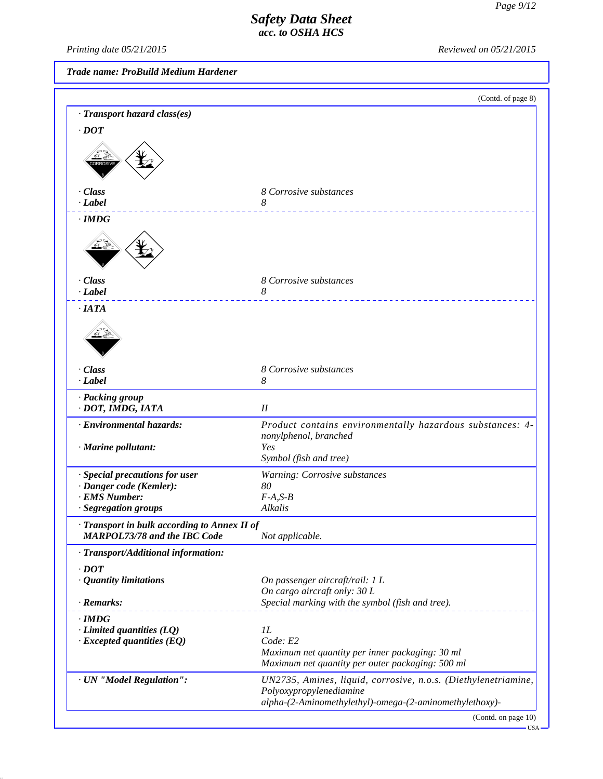*Printing date 05/21/2015 Reviewed on 05/21/2015*

*Trade name: ProBuild Medium Hardener*

|                                                                              | (Contd. of page 8)                                                                        |
|------------------------------------------------------------------------------|-------------------------------------------------------------------------------------------|
| · Transport hazard class(es)                                                 |                                                                                           |
| $\cdot$ DOT                                                                  |                                                                                           |
|                                                                              |                                                                                           |
| · Class<br>· Label                                                           | 8 Corrosive substances<br>8                                                               |
| $\cdot$ IMDG                                                                 |                                                                                           |
|                                                                              |                                                                                           |
| · Class<br>· Label                                                           | 8 Corrosive substances<br>8                                                               |
| ·IATA                                                                        |                                                                                           |
|                                                                              |                                                                                           |
| · Class<br>· Label                                                           | 8 Corrosive substances<br>8                                                               |
| · Packing group<br>· DOT, IMDG, IATA                                         | $I\!I$                                                                                    |
| · Environmental hazards:                                                     | Product contains environmentally hazardous substances: 4-<br>nonylphenol, branched        |
| · Marine pollutant:                                                          | Yes<br>Symbol (fish and tree)                                                             |
| · Special precautions for user                                               | Warning: Corrosive substances                                                             |
| · Danger code (Kemler):                                                      | 80                                                                                        |
| · EMS Number:                                                                | $F-A, S-B$                                                                                |
| · Segregation groups                                                         | Alkalis                                                                                   |
| · Transport in bulk according to Annex II of<br>MARPOL73/78 and the IBC Code | Not applicable.                                                                           |
| · Transport/Additional information:                                          |                                                                                           |
| $\cdot$ DOT                                                                  |                                                                                           |
| · Quantity limitations                                                       | On passenger aircraft/rail: 1 L                                                           |
|                                                                              | On cargo aircraft only: 30 L                                                              |
| · Remarks:                                                                   | Special marking with the symbol (fish and tree).                                          |
| $\cdot$ IMDG                                                                 | $_{1L}$                                                                                   |
| $\cdot$ Limited quantities (LQ)<br>$\cdot$ Excepted quantities (EQ)          | Code: E2                                                                                  |
|                                                                              | Maximum net quantity per inner packaging: 30 ml                                           |
|                                                                              | Maximum net quantity per outer packaging: 500 ml                                          |
| · UN "Model Regulation":                                                     | UN2735, Amines, liquid, corrosive, n.o.s. (Diethylenetriamine,<br>Polyoxypropylenediamine |
|                                                                              | alpha-(2-Aminomethylethyl)-omega-(2-aminomethylethoxy)-                                   |

(Contd. on page 10)

 $-<sub>USA</sub>$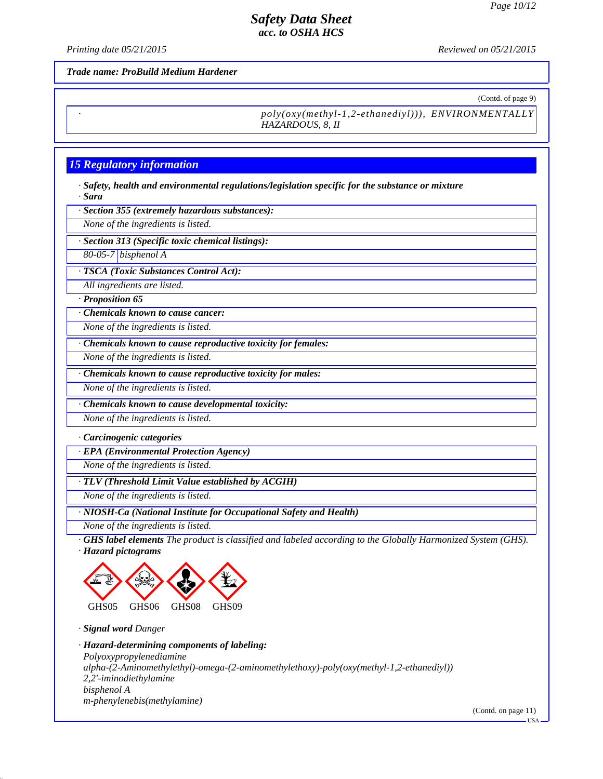*Printing date 05/21/2015 Reviewed on 05/21/2015*

*Trade name: ProBuild Medium Hardener*

(Contd. of page 9)

*· poly(oxy(methyl-1,2-ethanediyl))), ENVIRONMENTALLY HAZARDOUS, 8, II*

### *15 Regulatory information*

*· Safety, health and environmental regulations/legislation specific for the substance or mixture · Sara*

*· Section 355 (extremely hazardous substances):*

*None of the ingredients is listed.*

*· Section 313 (Specific toxic chemical listings):*

*80-05-7 bisphenol A*

*· TSCA (Toxic Substances Control Act):*

*All ingredients are listed.*

*· Proposition 65*

*· Chemicals known to cause cancer:*

*None of the ingredients is listed.*

*· Chemicals known to cause reproductive toxicity for females:*

*None of the ingredients is listed.*

*· Chemicals known to cause reproductive toxicity for males:*

*None of the ingredients is listed.*

*· Chemicals known to cause developmental toxicity:*

*None of the ingredients is listed.*

*· Carcinogenic categories*

*· EPA (Environmental Protection Agency)*

*None of the ingredients is listed.*

*· TLV (Threshold Limit Value established by ACGIH)*

*None of the ingredients is listed.*

*· NIOSH-Ca (National Institute for Occupational Safety and Health)*

*None of the ingredients is listed.*

*· GHS label elements The product is classified and labeled according to the Globally Harmonized System (GHS). · Hazard pictograms*



*· Signal word Danger*

*· Hazard-determining components of labeling: Polyoxypropylenediamine alpha-(2-Aminomethylethyl)-omega-(2-aminomethylethoxy)-poly(oxy(methyl-1,2-ethanediyl)) 2,2'-iminodiethylamine bisphenol A m-phenylenebis(methylamine)*

(Contd. on page 11)

USA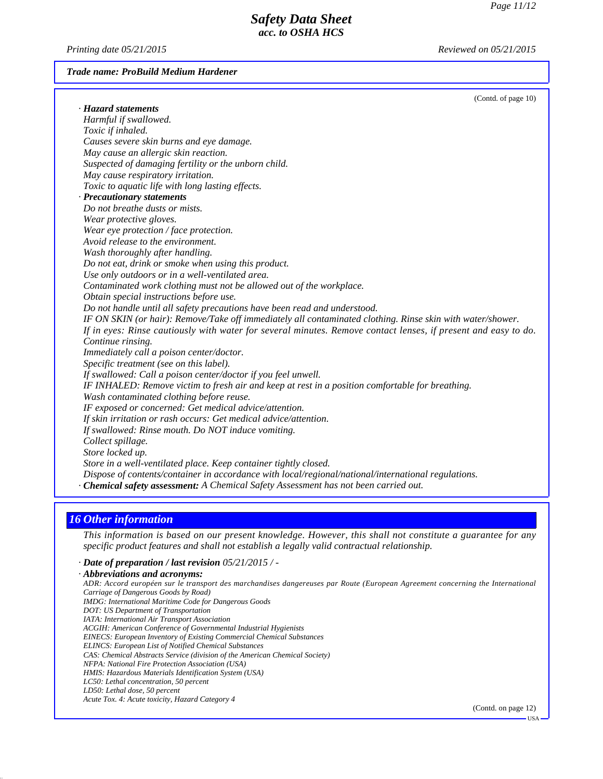USA

## *Safety Data Sheet acc. to OSHA HCS*

*Printing date 05/21/2015 Reviewed on 05/21/2015*

#### *Trade name: ProBuild Medium Hardener*

|                                                                                                                | (Contd. of page 10) |
|----------------------------------------------------------------------------------------------------------------|---------------------|
| · Hazard statements                                                                                            |                     |
| Harmful if swallowed.                                                                                          |                     |
| Toxic if inhaled.                                                                                              |                     |
| Causes severe skin burns and eye damage.                                                                       |                     |
| May cause an allergic skin reaction.                                                                           |                     |
| Suspected of damaging fertility or the unborn child.                                                           |                     |
| May cause respiratory irritation.                                                                              |                     |
| Toxic to aquatic life with long lasting effects.                                                               |                     |
| · Precautionary statements                                                                                     |                     |
| Do not breathe dusts or mists.                                                                                 |                     |
| Wear protective gloves.                                                                                        |                     |
| Wear eye protection / face protection.                                                                         |                     |
| Avoid release to the environment.                                                                              |                     |
| Wash thoroughly after handling.                                                                                |                     |
| Do not eat, drink or smoke when using this product.                                                            |                     |
| Use only outdoors or in a well-ventilated area.                                                                |                     |
| Contaminated work clothing must not be allowed out of the workplace.                                           |                     |
| Obtain special instructions before use.                                                                        |                     |
| Do not handle until all safety precautions have been read and understood.                                      |                     |
| IF ON SKIN (or hair): Remove/Take off immediately all contaminated clothing. Rinse skin with water/shower.     |                     |
| If in eyes: Rinse cautiously with water for several minutes. Remove contact lenses, if present and easy to do. |                     |
| Continue rinsing.                                                                                              |                     |
| Immediately call a poison center/doctor.                                                                       |                     |
| Specific treatment (see on this label).                                                                        |                     |
| If swallowed: Call a poison center/doctor if you feel unwell.                                                  |                     |
| IF INHALED: Remove victim to fresh air and keep at rest in a position comfortable for breathing.               |                     |
| Wash contaminated clothing before reuse.                                                                       |                     |
| IF exposed or concerned: Get medical advice/attention.                                                         |                     |
| If skin irritation or rash occurs: Get medical advice/attention.                                               |                     |
| If swallowed: Rinse mouth. Do NOT induce vomiting.                                                             |                     |
| Collect spillage.                                                                                              |                     |
| Store locked up.                                                                                               |                     |
| Store in a well-ventilated place. Keep container tightly closed.                                               |                     |
| Dispose of contents/container in accordance with local/regional/national/international regulations.            |                     |
| · Chemical safety assessment: A Chemical Safety Assessment has not been carried out.                           |                     |

### *16 Other information*

*This information is based on our present knowledge. However, this shall not constitute a guarantee for any specific product features and shall not establish a legally valid contractual relationship.*

*· Date of preparation / last revision 05/21/2015 / -*

*· Abbreviations and acronyms: ADR: Accord européen sur le transport des marchandises dangereuses par Route (European Agreement concerning the International Carriage of Dangerous Goods by Road) IMDG: International Maritime Code for Dangerous Goods DOT: US Department of Transportation IATA: International Air Transport Association ACGIH: American Conference of Governmental Industrial Hygienists EINECS: European Inventory of Existing Commercial Chemical Substances ELINCS: European List of Notified Chemical Substances CAS: Chemical Abstracts Service (division of the American Chemical Society) NFPA: National Fire Protection Association (USA) HMIS: Hazardous Materials Identification System (USA) LC50: Lethal concentration, 50 percent LD50: Lethal dose, 50 percent Acute Tox. 4: Acute toxicity, Hazard Category 4* (Contd. on page 12)